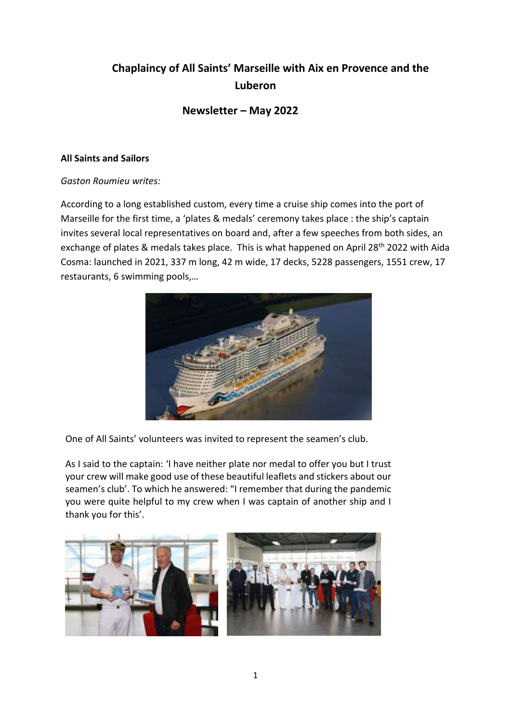# **Chaplaincy of All Saints' Marseille with Aix en Provence and the Luberon**

## **Newsletter – May 2022**

### **All Saints and Sailors**

### *Gaston Roumieu writes:*

According to a long established custom, every time a cruise ship comes into the port of Marseille for the first time, a 'plates & medals' ceremony takes place : the ship's captain invites several local representatives on board and, after a few speeches from both sides, an exchange of plates & medals takes place. This is what happened on April 28<sup>th</sup> 2022 with Aida Cosma: launched in 2021, 337 m long, 42 m wide, 17 decks, 5228 passengers, 1551 crew, 17 restaurants, 6 swimming pools,…



One of All Saints' volunteers was invited to represent the seamen's club.

As I said to the captain: 'I have neither plate nor medal to offer you but I trust your crew will make good use of these beautiful leaflets and stickers about our seamen's club'. To which he answered: "I remember that during the pandemic you were quite helpful to my crew when I was captain of another ship and I thank you for this'.

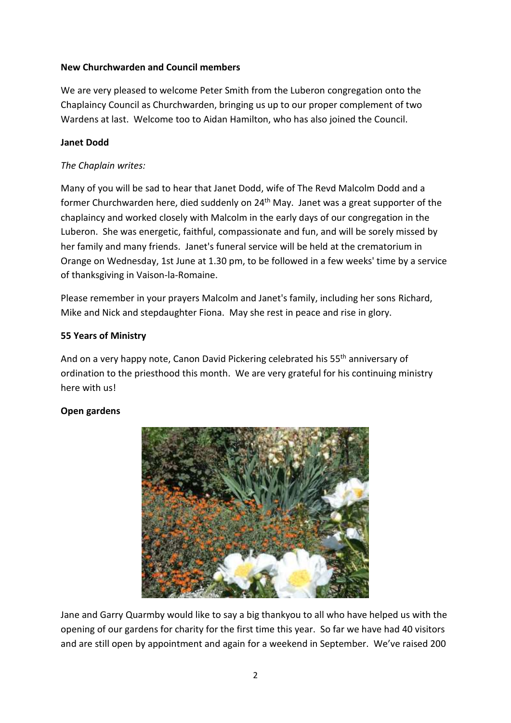## **New Churchwarden and Council members**

We are very pleased to welcome Peter Smith from the Luberon congregation onto the Chaplaincy Council as Churchwarden, bringing us up to our proper complement of two Wardens at last. Welcome too to Aidan Hamilton, who has also joined the Council.

## **Janet Dodd**

## *The Chaplain writes:*

Many of you will be sad to hear that Janet Dodd, wife of The Revd Malcolm Dodd and a former Churchwarden here, died suddenly on 24<sup>th</sup> May. Janet was a great supporter of the chaplaincy and worked closely with Malcolm in the early days of our congregation in the Luberon. She was energetic, faithful, compassionate and fun, and will be sorely missed by her family and many friends. Janet's funeral service will be held at the crematorium in Orange on Wednesday, 1st June at 1.30 pm, to be followed in a few weeks' time by a service of thanksgiving in Vaison-la-Romaine.

Please remember in your prayers Malcolm and Janet's family, including her sons Richard, Mike and Nick and stepdaughter Fiona. May she rest in peace and rise in glory.

### **55 Years of Ministry**

And on a very happy note, Canon David Pickering celebrated his 55<sup>th</sup> anniversary of ordination to the priesthood this month. We are very grateful for his continuing ministry here with us!

## **Open gardens**



Jane and Garry Quarmby would like to say a big thankyou to all who have helped us with the opening of our gardens for charity for the first time this year. So far we have had 40 visitors and are still open by appointment and again for a weekend in September. We've raised 200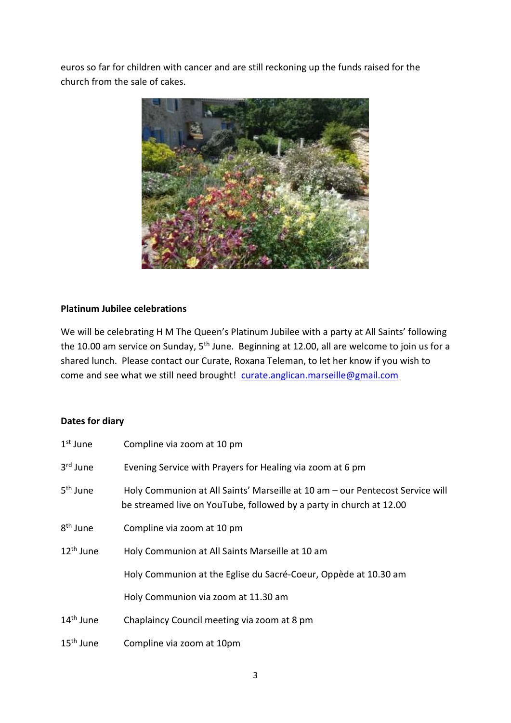euros so far for children with cancer and are still reckoning up the funds raised for the church from the sale of cakes.



### **Platinum Jubilee celebrations**

We will be celebrating H M The Queen's Platinum Jubilee with a party at All Saints' following the 10.00 am service on Sunday, 5<sup>th</sup> June. Beginning at 12.00, all are welcome to join us for a shared lunch. Please contact our Curate, Roxana Teleman, to let her know if you wish to come and see what we still need brought! curate.anglican.marseille@gmail.com

#### **Dates for diary**

| $1st$ June            | Compline via zoom at 10 pm                                                                                                                           |  |
|-----------------------|------------------------------------------------------------------------------------------------------------------------------------------------------|--|
| 3 <sup>rd</sup> June  | Evening Service with Prayers for Healing via zoom at 6 pm                                                                                            |  |
| 5 <sup>th</sup> June  | Holy Communion at All Saints' Marseille at 10 am - our Pentecost Service will<br>be streamed live on YouTube, followed by a party in church at 12.00 |  |
| 8 <sup>th</sup> June  | Compline via zoom at 10 pm                                                                                                                           |  |
| 12 <sup>th</sup> June | Holy Communion at All Saints Marseille at 10 am                                                                                                      |  |
|                       | Holy Communion at the Eglise du Sacré-Coeur, Oppède at 10.30 am                                                                                      |  |
|                       | Holy Communion via zoom at 11.30 am                                                                                                                  |  |
| 14 <sup>th</sup> June | Chaplaincy Council meeting via zoom at 8 pm                                                                                                          |  |
| $15^{\text{th}}$ June | Compline via zoom at 10pm                                                                                                                            |  |